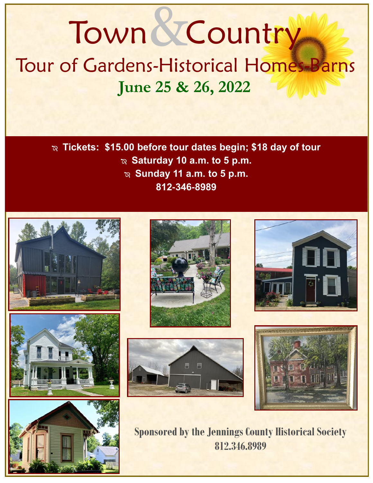**June 25 & 26, 2022** Tour of Gardens-Historical Homes-Barns Town & Country

> **Tickets: \$15.00 before tour dates begin; \$18 day of tour**  $\infty$  Saturday 10 a.m. to 5 p.m.  $\infty$  Sunday 11 a.m. to 5 p.m. **812-346-8989**















**Sponsored by the Jennings County Historical Society 812.346.8989**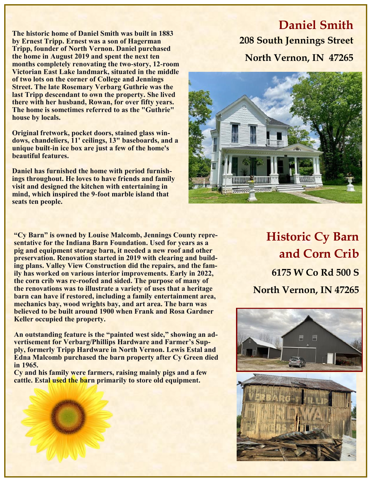**The historic home of Daniel Smith was built in 1883 by Ernest Tripp. Ernest was a son of Hagerman Tripp, founder of North Vernon. Daniel purchased the home in August 2019 and spent the next ten months completely renovating the two-story, 12-room Victorian East Lake landmark, situated in the middle of two lots on the corner of College and Jennings Street. The late Rosemary Verbarg Guthrie was the last Tripp descendant to own the property. She lived there with her husband, Rowan, for over fifty years. The home is sometimes referred to as the "Guthrie" house by locals.** 

**Original fretwork, pocket doors, stained glass windows, chandeliers, 11' ceilings, 13" baseboards, and a unique built-in ice box are just a few of the home's beautiful features.**

**Daniel has furnished the home with period furnishings throughout. He loves to have friends and family visit and designed the kitchen with entertaining in mind, which inspired the 9-foot marble island that seats ten people.**

# **Daniel Smith 208 South Jennings Street North Vernon, IN 47265**



**"Cy Barn" is owned by Louise Malcomb, Jennings County representative for the Indiana Barn Foundation. Used for years as a pig and equipment storage barn, it needed a new roof and other preservation. Renovation started in 2019 with clearing and building plans. Valley View Construction did the repairs, and the family has worked on various interior improvements. Early in 2022, the corn crib was re-roofed and sided. The purpose of many of the renovations was to illustrate a variety of uses that a heritage barn can have if restored, including a family entertainment area, mechanics bay, wood wrights bay, and art area. The barn was believed to be built around 1900 when Frank and Rosa Gardner Keller occupied the property.** 

**An outstanding feature is the "painted west side," showing an advertisement for Verbarg/Phillips Hardware and Farmer's Supply, formerly Tripp Hardware in North Vernon. Lewis Estal and Edna Malcomb purchased the barn property after Cy Green died in 1965.** 

**Cy and his family were farmers, raising mainly pigs and a few cattle. Estal used the barn primarily to store old equipment.**

**Historic Cy Barn and Corn Crib 6175 W Co Rd 500 S North Vernon, IN 47265**

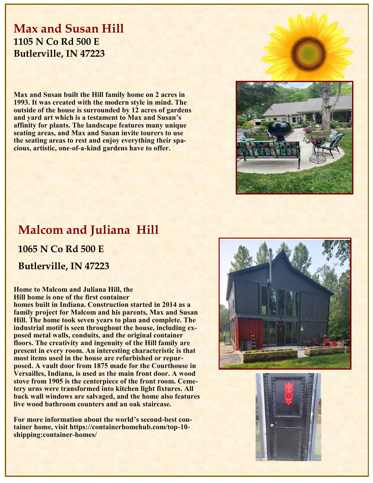## **Max and Susan Hill 1105 N Co Rd 500 E Butlerville, IN 47223**

**Max and Susan built the Hill family home on 2 acres in 1993. It was created with the modern style in mind. The outside of the house is surrounded by 12 acres of gardens and yard art which is a testament to Max and Susan's affinity for plants. The landscape features many unique seating areas, and Max and Susan invite tourers to use the seating areas to rest and enjoy everything their spacious, artistic, one-of-a-kind gardens have to offer.** 



## **Malcom and Juliana Hill**

**1065 N Co Rd 500 E**

**Butlerville, IN 47223**

#### **Home to Malcom and Juliana Hill, the Hill home is one of the first container**

**homes built in Indiana. Construction started in 2014 as a family project for Malcom and his parents, Max and Susan Hill. The home took seven years to plan and complete. The industrial motif is seen throughout the house, including exposed metal walls, conduits, and the original container floors. The creativity and ingenuity of the Hill family are present in every room. An interesting characteristic is that most items used in the house are refurbished or repurposed. A vault door from 1875 made for the Courthouse in Versailles, Indiana, is used as the main front door. A wood stove from 1905 is the centerpiece of the front room. Cemetery urns were transformed into kitchen light fixtures. All back wall windows are salvaged, and the home also features live wood bathroom counters and an oak staircase.**

**For more information about the world's second-best container home, visit https://containerhomehub.com/top-10 shipping:container-homes/**